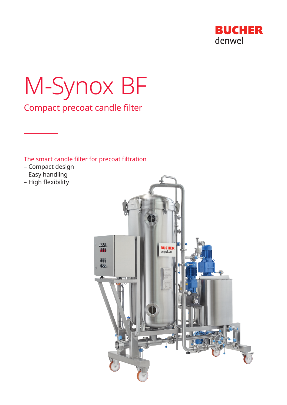

# M-Synox BF

Compact precoat candle filter

# The smart candle filter for precoat filtration

- Compact design
- Easy handling
- High flexibility